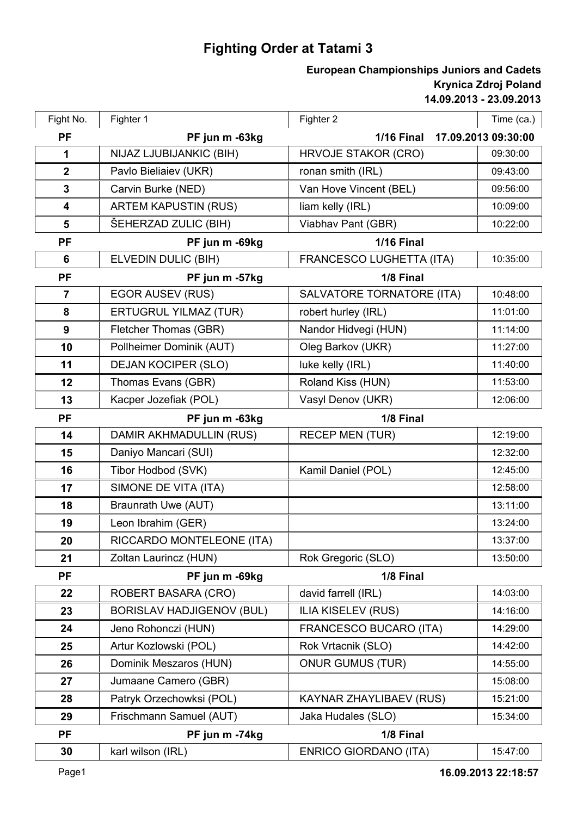## **Fighting Order at Tatami 3**

## **14.09.2013 - 23.09.2013 Krynica Zdroj Poland European Championships Juniors and Cadets**

| Fight No.               | Fighter 1                        | Fighter 2                      | Time (ca.)          |
|-------------------------|----------------------------------|--------------------------------|---------------------|
| <b>PF</b>               | PF jun m -63kg                   | <b>1/16 Final</b>              | 17.09.2013 09:30:00 |
| 1                       | NIJAZ LJUBIJANKIC (BIH)          | <b>HRVOJE STAKOR (CRO)</b>     | 09:30:00            |
| $\boldsymbol{2}$        | Pavlo Bieliaiev (UKR)            | ronan smith (IRL)              | 09:43:00            |
| $\mathbf{3}$            | Carvin Burke (NED)               | Van Hove Vincent (BEL)         | 09:56:00            |
| $\overline{\mathbf{4}}$ | <b>ARTEM KAPUSTIN (RUS)</b>      | liam kelly (IRL)               | 10:09:00            |
| 5                       | ŠEHERZAD ZULIC (BIH)             | Viabhav Pant (GBR)             | 10:22:00            |
| <b>PF</b>               | PF jun m -69kg                   | <b>1/16 Final</b>              |                     |
| 6                       | ELVEDIN DULIC (BIH)              | FRANCESCO LUGHETTA (ITA)       | 10:35:00            |
| <b>PF</b>               | PF jun m -57kg                   | 1/8 Final                      |                     |
| $\overline{7}$          | <b>EGOR AUSEV (RUS)</b>          | SALVATORE TORNATORE (ITA)      | 10:48:00            |
| 8                       | <b>ERTUGRUL YILMAZ (TUR)</b>     | robert hurley (IRL)            | 11:01:00            |
| 9                       | Fletcher Thomas (GBR)            | Nandor Hidvegi (HUN)           | 11:14:00            |
| 10                      | Pollheimer Dominik (AUT)         | Oleg Barkov (UKR)              | 11:27:00            |
| 11                      | <b>DEJAN KOCIPER (SLO)</b>       | luke kelly (IRL)               | 11:40:00            |
| 12                      | Thomas Evans (GBR)               | Roland Kiss (HUN)              | 11:53:00            |
| 13                      | Kacper Jozefiak (POL)            | Vasyl Denov (UKR)              | 12:06:00            |
| <b>PF</b>               | PF jun m -63kg                   | 1/8 Final                      |                     |
| 14                      | DAMIR AKHMADULLIN (RUS)          | <b>RECEP MEN (TUR)</b>         | 12:19:00            |
| 15                      | Daniyo Mancari (SUI)             |                                | 12:32:00            |
| 16                      | Tibor Hodbod (SVK)               | Kamil Daniel (POL)             | 12:45:00            |
| 17                      | SIMONE DE VITA (ITA)             |                                | 12:58:00            |
| 18                      | Braunrath Uwe (AUT)              |                                | 13:11:00            |
| 19                      | Leon Ibrahim (GER)               |                                | 13:24:00            |
| 20                      | RICCARDO MONTELEONE (ITA)        |                                | 13:37:00            |
| 21                      | Zoltan Laurincz (HUN)            | Rok Gregoric (SLO)             | 13:50:00            |
| <b>PF</b>               | PF jun m -69kg                   | 1/8 Final                      |                     |
| 22                      | <b>ROBERT BASARA (CRO)</b>       | david farrell (IRL)            | 14:03:00            |
| 23                      | <b>BORISLAV HADJIGENOV (BUL)</b> | <b>ILIA KISELEV (RUS)</b>      | 14:16:00            |
| 24                      | Jeno Rohonczi (HUN)              | FRANCESCO BUCARO (ITA)         | 14:29:00            |
| 25                      | Artur Kozlowski (POL)            | Rok Vrtacnik (SLO)             | 14:42:00            |
| 26                      | Dominik Meszaros (HUN)           | <b>ONUR GUMUS (TUR)</b>        | 14:55:00            |
| 27                      | Jumaane Camero (GBR)             |                                | 15:08:00            |
| 28                      | Patryk Orzechowksi (POL)         | <b>KAYNAR ZHAYLIBAEV (RUS)</b> | 15:21:00            |
| 29                      | Frischmann Samuel (AUT)          | Jaka Hudales (SLO)             | 15:34:00            |
| <b>PF</b>               | PF jun m -74kg                   | 1/8 Final                      |                     |
| 30                      | karl wilson (IRL)                | <b>ENRICO GIORDANO (ITA)</b>   | 15:47:00            |